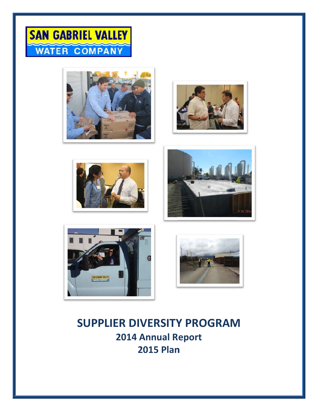













# **SUPPLIER DIVERSITY PROGRAM** 2014 Annual Report **2015 Plan**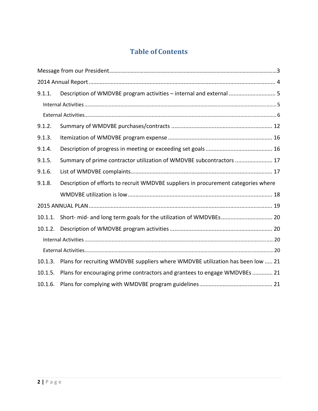# **Table of Contents**

| 9.1.1.  | Description of WMDVBE program activities - internal and external  5                |
|---------|------------------------------------------------------------------------------------|
|         |                                                                                    |
|         |                                                                                    |
| 9.1.2.  |                                                                                    |
| 9.1.3.  |                                                                                    |
| 9.1.4.  |                                                                                    |
| 9.1.5.  | Summary of prime contractor utilization of WMDVBE subcontractors  17               |
| 9.1.6.  |                                                                                    |
| 9.1.8.  | Description of efforts to recruit WMDVBE suppliers in procurement categories where |
|         |                                                                                    |
|         |                                                                                    |
|         |                                                                                    |
| 10.1.2. |                                                                                    |
|         |                                                                                    |
|         |                                                                                    |
| 10.1.3. | Plans for recruiting WMDVBE suppliers where WMDVBE utilization has been low  21    |
| 10.1.5. | Plans for encouraging prime contractors and grantees to engage WMDVBEs  21         |
| 10.1.6. |                                                                                    |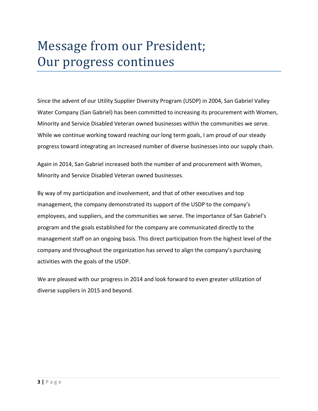# Message from our President; Our progress continues

Since the advent of our Utility Supplier Diversity Program (USDP) in 2004, San Gabriel Valley Water Company (San Gabriel) has been committed to increasing its procurement with Women, Minority and Service Disabled Veteran owned businesses within the communities we serve. While we continue working toward reaching our long term goals, I am proud of our steady progress toward integrating an increased number of diverse businesses into our supply chain.

Again in 2014, San Gabriel increased both the number of and procurement with Women, Minority and Service Disabled Veteran owned businesses.

By way of my participation and involvement, and that of other executives and top management, the company demonstrated its support of the USDP to the company's employees, and suppliers, and the communities we serve. The importance of San Gabriel's program and the goals established for the company are communicated directly to the management staff on an ongoing basis. This direct participation from the highest level of the company and throughout the organization has served to align the company's purchasing activities with the goals of the USDP.

We are pleased with our progress in 2014 and look forward to even greater utilization of diverse suppliers in 2015 and beyond.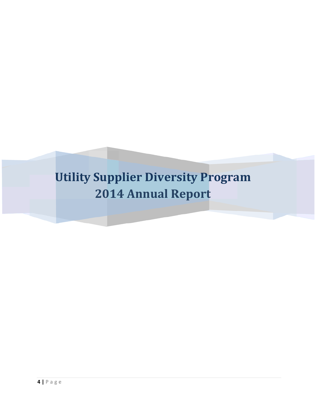# **Utility Supplier Diversity Program 2014 Annual Report**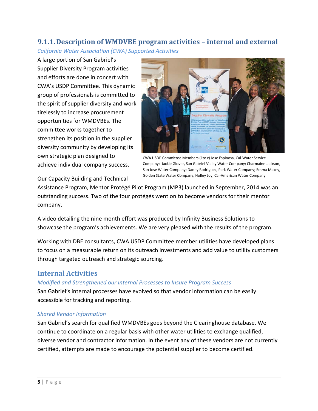# 9.1.1. Description of WMDVBE program activities – internal and external **California Water Association (CWA) Supported Activities**

A large portion of San Gabriel's **Supplier Diversity Program activities** and efforts are done in concert with CWA's USDP Committee. This dynamic group of professionals is committed to the spirit of supplier diversity and work tirelessly to increase procurement opportunities for WMDVBEs. The committee works together to strengthen its position in the supplier diversity community by developing its own strategic plan designed to achieve individual company success.



CWA USDP Committee Members (I to r) Jose Espinosa, Cal-Water Service Company; Jackie Glover, San Gabriel Valley Water Company; Charmaine Jackson, San Jose Water Company; Danny Rodriguez, Park Water Company; Emma Maxey, Golden State Water Company; Holley Joy, Cal-American Water Company

Our Capacity Building and Technical

Assistance Program, Mentor Protégé Pilot Program (MP3) launched in September, 2014 was an outstanding success. Two of the four protégés went on to become vendors for their mentor company.

A video detailing the nine month effort was produced by Infinity Business Solutions to showcase the program's achievements. We are very pleased with the results of the program.

Working with DBE consultants, CWA USDP Committee member utilities have developed plans to focus on a measurable return on its outreach investments and add value to utility customers through targeted outreach and strategic sourcing.

# **Internal Activities**

### Modified and Strengthened our Internal Processes to Insure Program Success

San Gabriel's internal processes have evolved so that vendor information can be easily accessible for tracking and reporting.

## **Shared Vendor Information**

San Gabriel's search for qualified WMDVBEs goes beyond the Clearinghouse database. We continue to coordinate on a regular basis with other water utilities to exchange qualified, diverse vendor and contractor information. In the event any of these vendors are not currently certified, attempts are made to encourage the potential supplier to become certified.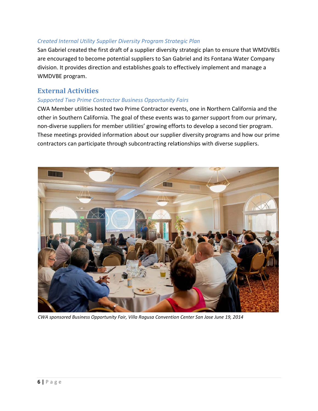### Created Internal Utility Supplier Diversity Program Strategic Plan

San Gabriel created the first draft of a supplier diversity strategic plan to ensure that WMDVBEs are encouraged to become potential suppliers to San Gabriel and its Fontana Water Company division. It provides direction and establishes goals to effectively implement and manage a WMDVBE program.

# **External Activities**

### **Supported Two Prime Contractor Business Opportunity Fairs**

CWA Member utilities hosted two Prime Contractor events, one in Northern California and the other in Southern California. The goal of these events was to garner support from our primary, non-diverse suppliers for member utilities' growing efforts to develop a second tier program. These meetings provided information about our supplier diversity programs and how our prime contractors can participate through subcontracting relationships with diverse suppliers.



CWA sponsored Business Opportunity Fair, Villa Ragusa Convention Center San Jose June 19, 2014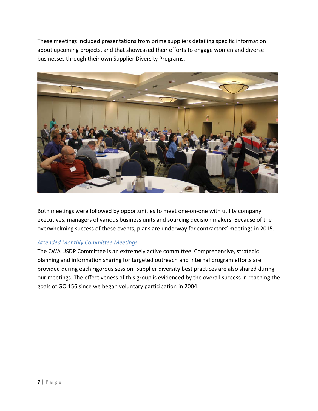These meetings included presentations from prime suppliers detailing specific information about upcoming projects, and that showcased their efforts to engage women and diverse businesses through their own Supplier Diversity Programs.



Both meetings were followed by opportunities to meet one-on-one with utility company executives, managers of various business units and sourcing decision makers. Because of the overwhelming success of these events, plans are underway for contractors' meetings in 2015.

## **Attended Monthly Committee Meetings**

The CWA USDP Committee is an extremely active committee. Comprehensive, strategic planning and information sharing for targeted outreach and internal program efforts are provided during each rigorous session. Supplier diversity best practices are also shared during our meetings. The effectiveness of this group is evidenced by the overall success in reaching the goals of GO 156 since we began voluntary participation in 2004.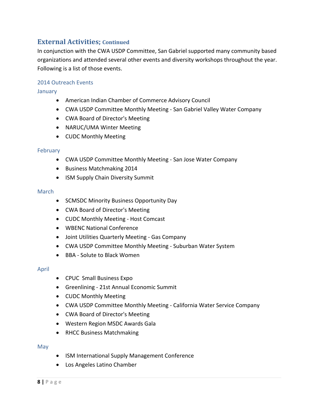# **External Activities; Continued**

In conjunction with the CWA USDP Committee, San Gabriel supported many community based organizations and attended several other events and diversity workshops throughout the year. Following is a list of those events.

### 2014 Outreach Events

January

- American Indian Chamber of Commerce Advisory Council
- CWA USDP Committee Monthly Meeting ‐ San Gabriel Valley Water Company
- CWA Board of Director's Meeting
- NARUC/UMA Winter Meeting
- CUDC Monthly Meeting

#### February

- CWA USDP Committee Monthly Meeting San Jose Water Company
- **•** Business Matchmaking 2014
- ISM Supply Chain Diversity Summit

#### March

- SCMSDC Minority Business Opportunity Day
- CWA Board of Director's Meeting
- CUDC Monthly Meeting Host Comcast
- WBENC National Conference
- Joint Utilities Quarterly Meeting Gas Company
- CWA USDP Committee Monthly Meeting Suburban Water System
- BBA Solute to Black Women

### April

- CPUC Small Business Expo
- Greenlining 21st Annual Economic Summit
- CUDC Monthly Meeting
- CWA USDP Committee Monthly Meeting California Water Service Company
- CWA Board of Director's Meeting
- Western Region MSDC Awards Gala
- RHCC Business Matchmaking

#### May

- ISM International Supply Management Conference
- Los Angeles Latino Chamber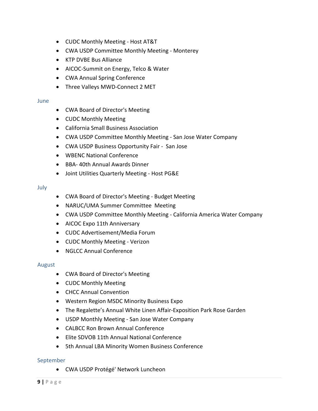- CUDC Monthly Meeting Host AT&T
- CWA USDP Committee Monthly Meeting Monterey
- KTP DVBE Bus Alliance
- AICOC-Summit on Energy, Telco & Water
- CWA Annual Spring Conference
- Three Valleys MWD-Connect 2 MET

#### **June**

- CWA Board of Director's Meeting
- CUDC Monthly Meeting
- California Small Business Association
- CWA USDP Committee Monthly Meeting ‐ San Jose Water Company
- CWA USDP Business Opportunity Fair San Jose
- WBENC National Conference
- BBA-40th Annual Awards Dinner
- Joint Utilities Quarterly Meeting Host PG&E

#### July

- CWA Board of Director's Meeting Budget Meeting
- NARUC/UMA Summer Committee Meeting
- CWA USDP Committee Monthly Meeting California America Water Company
- AICOC Expo 11th Anniversary
- CUDC Advertisement/Media Forum
- CUDC Monthly Meeting Verizon
- NGLCC Annual Conference

#### August

- CWA Board of Director's Meeting
- CUDC Monthly Meeting
- CHCC Annual Convention
- Western Region MSDC Minority Business Expo
- The Regalette's Annual White Linen Affair‐Exposition Park Rose Garden
- USDP Monthly Meeting San Jose Water Company
- CALBCC Ron Brown Annual Conference
- Elite SDVOB 11th Annual National Conference
- 5th Annual LBA Minority Women Business Conference

#### September

CWA USDP Protégé' Network Luncheon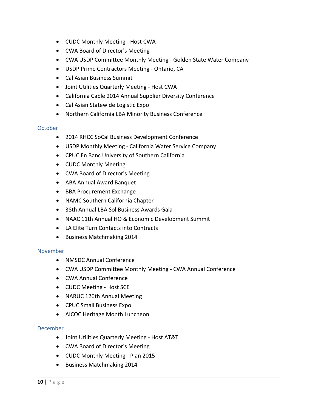- CUDC Monthly Meeting Host CWA
- CWA Board of Director's Meeting
- CWA USDP Committee Monthly Meeting Golden State Water Company
- USDP Prime Contractors Meeting Ontario, CA
- Cal Asian Business Summit
- Joint Utilities Quarterly Meeting Host CWA
- California Cable 2014 Annual Supplier Diversity Conference
- Cal Asian Statewide Logistic Expo
- Northern California LBA Minority Business Conference

### October

- 2014 RHCC SoCal Business Development Conference
- USDP Monthly Meeting California Water Service Company
- CPUC En Banc University of Southern California
- CUDC Monthly Meeting
- CWA Board of Director's Meeting
- ABA Annual Award Banquet
- BBA Procurement Exchange
- NAMC Southern California Chapter
- 38th Annual LBA Sol Business Awards Gala
- NAAC 11th Annual HO & Economic Development Summit
- LA Elite Turn Contacts into Contracts
- Business Matchmaking 2014

### November

- NMSDC Annual Conference
- CWA USDP Committee Monthly Meeting CWA Annual Conference
- CWA Annual Conference
- CUDC Meeting Host SCE
- NARUC 126th Annual Meeting
- CPUC Small Business Expo
- AICOC Heritage Month Luncheon

### December

- Joint Utilities Quarterly Meeting Host AT&T
- CWA Board of Director's Meeting
- CUDC Monthly Meeting Plan 2015
- Business Matchmaking 2014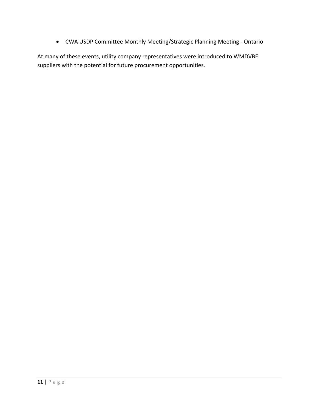CWA USDP Committee Monthly Meeting/Strategic Planning Meeting ‐ Ontario

At many of these events, utility company representatives were introduced to WMDVBE suppliers with the potential for future procurement opportunities.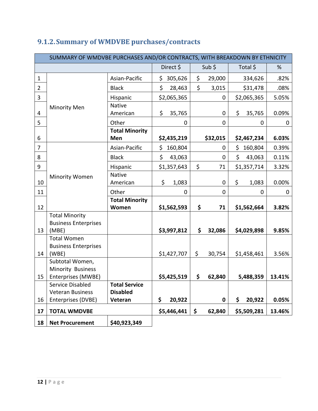|                  | SUMMARY OF WMDVBE PURCHASES AND/OR CONTRACTS, WITH BREAKDOWN BY ETHNICITY |                       |               |              |                              |        |  |  |  |  |  |
|------------------|---------------------------------------------------------------------------|-----------------------|---------------|--------------|------------------------------|--------|--|--|--|--|--|
|                  |                                                                           |                       | Direct \$     | Sub \$       | Total \$                     | %      |  |  |  |  |  |
| $\mathbf{1}$     |                                                                           | Asian-Pacific         | \$<br>305,626 | \$<br>29,000 | 334,626                      | .82%   |  |  |  |  |  |
| $\overline{2}$   |                                                                           | <b>Black</b>          | \$<br>28,463  | \$<br>3,015  | \$31,478                     | .08%   |  |  |  |  |  |
| 3                |                                                                           | Hispanic              | \$2,065,365   |              | \$2,065,365<br>0             | 5.05%  |  |  |  |  |  |
|                  | <b>Minority Men</b>                                                       | <b>Native</b>         |               |              |                              |        |  |  |  |  |  |
| 4                |                                                                           | American              | \$<br>35,765  |              | \$<br>35,765<br>$\mathbf 0$  | 0.09%  |  |  |  |  |  |
| 5                |                                                                           | Other                 | 0             |              | $\mathbf 0$<br>0             | 0      |  |  |  |  |  |
|                  |                                                                           | <b>Total Minority</b> |               |              |                              |        |  |  |  |  |  |
| 6                |                                                                           | Men                   | \$2,435,219   | \$32,015     | \$2,467,234                  | 6.03%  |  |  |  |  |  |
| $\overline{7}$   |                                                                           | Asian-Pacific         | \$<br>160,804 |              | \$<br>$\mathbf 0$<br>160,804 | 0.39%  |  |  |  |  |  |
| 8                |                                                                           | <b>Black</b>          | \$<br>43,063  |              | \$<br>43,063<br>$\mathbf{0}$ | 0.11%  |  |  |  |  |  |
| $\boldsymbol{9}$ |                                                                           | Hispanic              | \$1,357,643   | \$<br>71     | \$1,357,714                  | 3.32%  |  |  |  |  |  |
|                  | Minority Women                                                            | <b>Native</b>         |               |              |                              |        |  |  |  |  |  |
| 10               |                                                                           | American              | \$<br>1,083   |              | \$<br>1,083<br>$\mathbf 0$   | 0.00%  |  |  |  |  |  |
| 11               |                                                                           | Other                 | $\mathbf 0$   |              | 0<br>0                       | 0      |  |  |  |  |  |
|                  |                                                                           | <b>Total Minority</b> |               |              |                              |        |  |  |  |  |  |
| 12               |                                                                           | Women                 | \$1,562,593   | \$<br>71     | \$1,562,664                  | 3.82%  |  |  |  |  |  |
|                  | <b>Total Minority</b>                                                     |                       |               |              |                              |        |  |  |  |  |  |
| 13               | <b>Business Enterprises</b><br>(MBE)                                      |                       | \$3,997,812   | \$<br>32,086 | \$4,029,898                  | 9.85%  |  |  |  |  |  |
|                  | <b>Total Women</b>                                                        |                       |               |              |                              |        |  |  |  |  |  |
|                  | <b>Business Enterprises</b>                                               |                       |               |              |                              |        |  |  |  |  |  |
| 14               | (WBE)                                                                     |                       | \$1,427,707   | \$<br>30,754 | \$1,458,461                  | 3.56%  |  |  |  |  |  |
|                  | Subtotal Women,                                                           |                       |               |              |                              |        |  |  |  |  |  |
|                  | Minority Business                                                         |                       |               |              |                              |        |  |  |  |  |  |
| 15               | Enterprises (MWBE)                                                        |                       | \$5,425,519   | \$<br>62,840 | 5,488,359                    | 13.41% |  |  |  |  |  |
|                  | Service Disabled                                                          | <b>Total Service</b>  |               |              |                              |        |  |  |  |  |  |
|                  | <b>Veteran Business</b>                                                   | <b>Disabled</b>       |               |              |                              |        |  |  |  |  |  |
| 16               | Enterprises (DVBE)                                                        | Veteran               | \$<br>20,922  |              | 20,922<br>\$<br>0            | 0.05%  |  |  |  |  |  |
| 17               | <b>TOTAL WMDVBE</b>                                                       |                       | \$5,446,441   | \$<br>62,840 | \$5,509,281                  | 13.46% |  |  |  |  |  |
| 18               | <b>Net Procurement</b>                                                    | \$40,923,349          |               |              |                              |        |  |  |  |  |  |

# **9.1.2.Summary of WMDVBE purchases/contracts**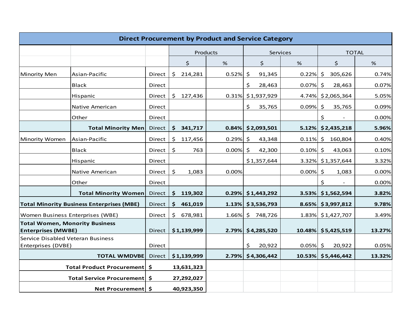|                                                                    | <b>Direct Procurement by Product and Service Category</b> |        |              |             |          |              |                      |             |                      |        |  |
|--------------------------------------------------------------------|-----------------------------------------------------------|--------|--------------|-------------|----------|--------------|----------------------|-------------|----------------------|--------|--|
|                                                                    |                                                           |        |              |             | Products | <b>TOTAL</b> |                      |             |                      |        |  |
|                                                                    |                                                           |        |              | \$          | $\%$     |              | $\zeta$              | %           | \$                   | %      |  |
| Minority Men                                                       | Asian-Pacific                                             | Direct | \$           | 214,281     | 0.52%    | \$           | 91,345               | $0.22\%$ \$ | 305,626              | 0.74%  |  |
|                                                                    | <b>Black</b>                                              | Direct |              |             |          | \$           | 28,463               | 0.07%       | $\zeta$<br>28,463    | 0.07%  |  |
|                                                                    | Hispanic                                                  | Direct | \$           | 127,436     |          |              | 0.31% \$1,937,929    |             | 4.74% \$2,065,364    | 5.05%  |  |
|                                                                    | Native American                                           | Direct |              |             |          | \$.          | 35,765               | 0.09%       | $\zeta$<br>35,765    | 0.09%  |  |
|                                                                    | Other                                                     | Direct |              |             |          |              |                      |             | \$                   | 0.00%  |  |
|                                                                    | <b>Total Minority Men</b>                                 | Direct |              | \$341,717   |          |              | $0.84\%$ \$2,093,501 |             | $5.12\%$ \$2,435,218 | 5.96%  |  |
| Minority Women                                                     | Asian-Pacific                                             | Direct | \$           | 117,456     | 0.29%    | $\zeta$      | 43,348               | 0.11%       | \$160,804            | 0.40%  |  |
|                                                                    | <b>Black</b>                                              | Direct | \$           | 763         | 0.00%    | $\zeta$      | 42,300               | 0.10%       | 43,063<br>$\zeta$    | 0.10%  |  |
|                                                                    | Hispanic                                                  | Direct |              |             |          |              | \$1,357,644          |             | 3.32% \$1,357,644    | 3.32%  |  |
|                                                                    | Native American                                           | Direct | \$           | 1,083       | 0.00%    |              |                      | $0.00\%$ \$ | 1,083                | 0.00%  |  |
|                                                                    | Other                                                     | Direct |              |             |          |              |                      |             | \$                   | 0.00%  |  |
|                                                                    | <b>Total Minority Women</b>                               | Direct | \$           | 119,302     |          |              | $0.29\%$ \$1,443,292 | 3.53%       | \$1,562,594          | 3.82%  |  |
|                                                                    | <b>Total Minority Business Enterprises (MBE)</b>          | Direct | S.           | 461,019     |          |              | $1.13\%$ \$3,536,793 |             | $8.65\%$ \$3,997,812 | 9.78%  |  |
| Women Business Enterprises (WBE)                                   |                                                           | Direct | $\mathsf{S}$ | 678,981     | 1.66%    |              | \$748,726            |             | 1.83% \$1,427,707    | 3.49%  |  |
| <b>Total Women, Monority Business</b><br><b>Enterprises (MWBE)</b> |                                                           | Direct |              | \$1,139,999 | 2.79%    |              | \$4,285,520          |             | 10.48% \$5,425,519   | 13.27% |  |
| Service Disabled Veteran Business                                  |                                                           |        |              |             |          |              |                      |             |                      |        |  |
| Enterprises (DVBE)                                                 |                                                           | Direct |              |             |          | \$.          | 20,922               | $0.05\%$ \$ | 20,922               | 0.05%  |  |
|                                                                    | <b>TOTAL WMDVBE</b>                                       | Direct |              | \$1,139,999 | 2.79%    |              | \$4,306,442          |             | 10.53% \$5,446,442   | 13.32% |  |
|                                                                    | Total Product Procurement   \$                            |        |              | 13,631,323  |          |              |                      |             |                      |        |  |
|                                                                    | Total Service Procurement   \$                            |        |              | 27,292,027  |          |              |                      |             |                      |        |  |
|                                                                    | Net Procurement   \$                                      |        |              | 40,923,350  |          |              |                      |             |                      |        |  |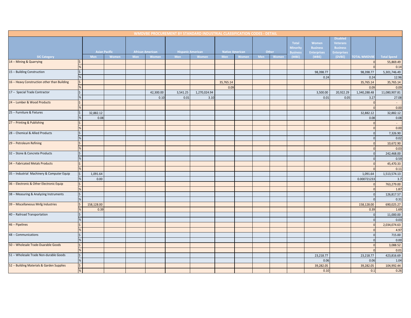|                                              |                                   |                      |     |                         |          | WMDVBE PROCUREMENT BY STANDARD INDUSTRIAL CLASSIFICATION CODES - DETAIL |                        |       |     |       |                                             |                                                |                                                                             |                     |                    |
|----------------------------------------------|-----------------------------------|----------------------|-----|-------------------------|----------|-------------------------------------------------------------------------|------------------------|-------|-----|-------|---------------------------------------------|------------------------------------------------|-----------------------------------------------------------------------------|---------------------|--------------------|
|                                              |                                   | <b>Asian Pacific</b> |     | <b>African American</b> |          | <b>Hispanic American</b>                                                | <b>Native American</b> |       |     | Other | Total<br><b>Minority</b><br><b>Business</b> | Women<br><b>Business</b><br><b>Enterprises</b> | <b>Disabled</b><br><b>Veterans</b><br><b>Business</b><br><b>Enterprises</b> |                     |                    |
| <b>SIC Category</b>                          | Men                               | Women                | Men | Women                   | Men      | Women                                                                   | Men                    | Women | Men | Women | (MBE)                                       | (WBE)                                          | (DVBE)                                                                      | <b>TOTAL WMDVBE</b> | <b>Total Spend</b> |
| 14 -- Mining & Quarrying                     | $\vert \xi \vert$                 |                      |     |                         |          |                                                                         |                        |       |     |       |                                             |                                                |                                                                             | $\Omega$            | 55,869.49          |
|                                              | %                                 |                      |     |                         |          |                                                                         |                        |       |     |       |                                             |                                                |                                                                             |                     | 0.14               |
| 15 -- Building Construction                  | $\boldsymbol{\zeta}$              |                      |     |                         |          |                                                                         |                        |       |     |       |                                             | 98,398.77                                      |                                                                             | 98,398.77           | 5,301,746.49       |
|                                              | $\%$                              |                      |     |                         |          |                                                                         |                        |       |     |       |                                             | 0.24                                           |                                                                             | 0.24                | 12.96              |
| 16 -- Heavy Construction other than Building | $\boldsymbol{\xi}$                |                      |     |                         |          |                                                                         | 35,765.14              |       |     |       |                                             |                                                |                                                                             | 35,765.14           | 35,765.14          |
|                                              | %                                 |                      |     |                         |          |                                                                         | 0.09                   |       |     |       |                                             |                                                |                                                                             | 0.09                | 0.09               |
| 17 -- Special Trade Contractor               | $\varsigma$                       |                      |     | 42,300.00               | 3,541.25 | 1,270,024.94                                                            |                        |       |     |       |                                             | 3,500.00                                       | 20,922.29                                                                   | 1,340,288.48        | 11,080,907.81      |
|                                              | $\%$                              |                      |     | 0.10                    | 0.01     | 3.10                                                                    |                        |       |     |       |                                             | 0.01                                           | 0.05                                                                        | 3.27                | 27.08              |
| 24 -- Lumber & Wood Products                 | $\frac{1}{2}$                     |                      |     |                         |          |                                                                         |                        |       |     |       |                                             |                                                |                                                                             |                     | $\sim 10$          |
|                                              |                                   |                      |     |                         |          |                                                                         |                        |       |     |       |                                             |                                                |                                                                             | $\sqrt{ }$          | 0.00               |
| 25 -- Furniture & Fixtures                   | $\ddot{\mathsf{S}}$<br>32,882.12  |                      |     |                         |          |                                                                         |                        |       |     |       |                                             |                                                |                                                                             | 32,882.12           | 32,882.12          |
|                                              | %<br>0.08                         |                      |     |                         |          |                                                                         |                        |       |     |       |                                             |                                                |                                                                             | 0.08                | 0.08               |
| 27 -- Printing & Publishing                  | $\mathsf{S}$                      |                      |     |                         |          |                                                                         |                        |       |     |       |                                             |                                                |                                                                             | $\Omega$            |                    |
|                                              | %                                 |                      |     |                         |          |                                                                         |                        |       |     |       |                                             |                                                |                                                                             | $\Omega$            | 0.00               |
| 28 -- Chemical & Allied Products             | \$                                |                      |     |                         |          |                                                                         |                        |       |     |       |                                             |                                                |                                                                             | $\Omega$            | 7,326.90           |
|                                              | %                                 |                      |     |                         |          |                                                                         |                        |       |     |       |                                             |                                                |                                                                             | $\Omega$            | 0.02               |
| 29 -- Petroleum Refining                     | $\zeta$                           |                      |     |                         |          |                                                                         |                        |       |     |       |                                             |                                                |                                                                             |                     | 10,672.90          |
|                                              | %                                 |                      |     |                         |          |                                                                         |                        |       |     |       |                                             |                                                |                                                                             |                     | 0.03               |
| 32 -- Stone & Concrete Products              | $\zeta$                           |                      |     |                         |          |                                                                         |                        |       |     |       |                                             |                                                |                                                                             | $\Omega$            | 242,468.00         |
|                                              | $\%$                              |                      |     |                         |          |                                                                         |                        |       |     |       |                                             |                                                |                                                                             | $\Omega$            | 0.59               |
| 34 -- Fabricated Metals Products             | $\vert \mathsf{S} \vert$          |                      |     |                         |          |                                                                         |                        |       |     |       |                                             |                                                |                                                                             | $\Omega$            | 45,470.33          |
|                                              | %                                 |                      |     |                         |          |                                                                         |                        |       |     |       |                                             |                                                |                                                                             |                     | 0.11               |
| 35 -- Industrial Machinery & Computer Equip  | $\boldsymbol{\zeta}$<br>1,091.64  |                      |     |                         |          |                                                                         |                        |       |     |       |                                             |                                                |                                                                             | 1,091.64            | 1,513,574.13       |
|                                              | %<br>0.00                         |                      |     |                         |          |                                                                         |                        |       |     |       |                                             |                                                |                                                                             | 0.000721233         | 3.7                |
| 36 -- Electronic & Other Electronic Equip    | $\frac{1}{2}$                     |                      |     |                         |          |                                                                         |                        |       |     |       |                                             |                                                |                                                                             |                     | 763,279.00         |
|                                              | %                                 |                      |     |                         |          |                                                                         |                        |       |     |       |                                             |                                                |                                                                             | $\Omega$            | 1.87               |
| 38 -- Measuring & Analyzing Instruments      | $\left  \right. \zeta \right $    |                      |     |                         |          |                                                                         |                        |       |     |       |                                             |                                                |                                                                             | $\mathbf 0$         | 126,817.57         |
|                                              | %                                 |                      |     |                         |          |                                                                         |                        |       |     |       |                                             |                                                |                                                                             | $\Omega$            | 0.31               |
| 39 -- Miscellaneous Mnfg Industries          | $\ddot{\mathsf{S}}$<br>158,128.00 |                      |     |                         |          |                                                                         |                        |       |     |       |                                             |                                                |                                                                             | 158,128.00          | 690,025.27         |
|                                              | %<br>0.39                         |                      |     |                         |          |                                                                         |                        |       |     |       |                                             |                                                |                                                                             | 0.39                | 1.69               |
| 40 -- Railroad Transportation                | \$                                |                      |     |                         |          |                                                                         |                        |       |     |       |                                             |                                                |                                                                             | $\Omega$            | 11,000.00          |
|                                              | $\%$                              |                      |     |                         |          |                                                                         |                        |       |     |       |                                             |                                                |                                                                             |                     | 0.03               |
| 46 -- Pipelines                              | \$                                |                      |     |                         |          |                                                                         |                        |       |     |       |                                             |                                                |                                                                             | $\Omega$            | 2,034,074.63       |
|                                              | %                                 |                      |     |                         |          |                                                                         |                        |       |     |       |                                             |                                                |                                                                             | $\Omega$            | 4.97               |
| 48 -- Communications                         | $\mathsf{\hat{S}}$                |                      |     |                         |          |                                                                         |                        |       |     |       |                                             |                                                |                                                                             | $\Omega$            | 715.00             |
|                                              | $\%$                              |                      |     |                         |          |                                                                         |                        |       |     |       |                                             |                                                |                                                                             | $\Omega$            | 0.00               |
| 50 -- Wholesale Trade-Duarable Goods         | $\mathsf{S}$                      |                      |     |                         |          |                                                                         |                        |       |     |       |                                             |                                                |                                                                             | $\Omega$            | 3,088.52           |
|                                              | %                                 |                      |     |                         |          |                                                                         |                        |       |     |       |                                             |                                                |                                                                             | $\Omega$            | 0.01               |
| 51 -- Wholesale Trade Non-durable Goods      | $\overline{\xi}$                  |                      |     |                         |          |                                                                         |                        |       |     |       |                                             | 23,218.77                                      |                                                                             | 23,218.77           | 423,816.69         |
|                                              | %                                 |                      |     |                         |          |                                                                         |                        |       |     |       |                                             | 0.06                                           |                                                                             | 0.06                | 1.04               |
| 52 -- Building Materials & Garden Supplies   | $\vert \xi \vert$                 |                      |     |                         |          |                                                                         |                        |       |     |       |                                             | 39,282.05                                      |                                                                             | 39,282.05           | 104,992.44         |
|                                              | %                                 |                      |     |                         |          |                                                                         |                        |       |     |       |                                             | 0.10                                           |                                                                             | 0.1                 | 0.26               |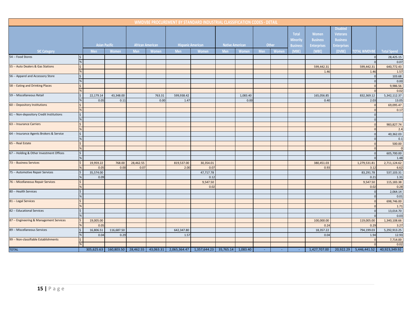|                                          |                          |                   |                      |                         |        | WMDVBE PROCUREMENT BY STANDARD INDUSTRIAL CLASSIFICATION CODES - DETAIL                |                          |                        |          |            |              |                                             |                                                |                                                                             |                        |                    |
|------------------------------------------|--------------------------|-------------------|----------------------|-------------------------|--------|----------------------------------------------------------------------------------------|--------------------------|------------------------|----------|------------|--------------|---------------------------------------------|------------------------------------------------|-----------------------------------------------------------------------------|------------------------|--------------------|
|                                          |                          |                   | <b>Asian Pacific</b> | <b>African American</b> |        |                                                                                        | <b>Hispanic American</b> | <b>Native American</b> |          |            | Other        | Total<br><b>Minority</b><br><b>Business</b> | Women<br><b>Business</b><br><b>Enterprises</b> | <b>Disabled</b><br><b>Veterans</b><br><b>Business</b><br><b>Enterprises</b> |                        |                    |
| <b>SIC Category</b>                      |                          | <b>Men</b>        | Women                | <b>Men</b>              | Women  | <b>Men</b>                                                                             | Women                    | <b>Men</b>             | Women    | <b>Men</b> | <b>Women</b> | (MBE)                                       | (WBE)                                          | (DVBE)                                                                      | <b>TOTAL WMDVBE</b>    | <b>Total Spend</b> |
| 54 -- Food Stores                        | l\$                      |                   |                      |                         |        |                                                                                        |                          |                        |          |            |              |                                             |                                                |                                                                             |                        | 28,425.15          |
|                                          |                          |                   |                      |                         |        |                                                                                        |                          |                        |          |            |              |                                             |                                                |                                                                             |                        | 0.07               |
| 55 -- Auto Dealers & Gas Stations        | l\$                      |                   |                      |                         |        |                                                                                        |                          |                        |          |            |              |                                             | 599,442.31                                     |                                                                             | 599,442.31             | 640,772.43         |
|                                          |                          |                   |                      |                         |        |                                                                                        |                          |                        |          |            |              |                                             | 1.46                                           |                                                                             | 1.46                   | 1.57               |
| 56 -- Apparel and Accessory Store        | l\$                      |                   |                      |                         |        |                                                                                        |                          |                        |          |            |              |                                             |                                                |                                                                             | $\overline{0}$         | 103.68             |
|                                          | $\frac{9}{6}$            |                   |                      |                         |        |                                                                                        |                          |                        |          |            |              |                                             |                                                |                                                                             | $\Omega$               | 0.00               |
| 58 -- Eating and Drinking Places         | l\$                      |                   |                      |                         |        |                                                                                        |                          |                        |          |            |              |                                             |                                                |                                                                             | $\Omega$               | 9,986.56           |
|                                          |                          |                   |                      |                         |        |                                                                                        |                          |                        |          |            |              |                                             |                                                |                                                                             |                        | 0.02               |
| 59 -- Miscellaneous Retail               | l\$                      | 22,179.14         | 43,348.00            |                         | 763.31 | 599,938.42                                                                             |                          |                        | 1,083.40 |            |              |                                             | 165,056.85                                     |                                                                             | 832,369.12             | 5,342,112.37       |
|                                          | $\frac{9}{6}$            | 0.05              | 0.11                 |                         | 0.00   | 1.47                                                                                   |                          |                        | 0.00     |            |              |                                             | 0.40                                           |                                                                             | 2.03                   | 13.05              |
| 60 -- Depository Institutions            | l\$                      |                   |                      |                         |        |                                                                                        |                          |                        |          |            |              |                                             |                                                |                                                                             | $\overline{0}$         | 69,095.47          |
|                                          | $\frac{9}{6}$            |                   |                      |                         |        |                                                                                        |                          |                        |          |            |              |                                             |                                                |                                                                             | $\Omega$               | 0.17               |
| 61 -- Non-depository Credit Institutions | \$                       |                   |                      |                         |        |                                                                                        |                          |                        |          |            |              |                                             |                                                |                                                                             | $\Omega$               |                    |
|                                          | %                        |                   |                      |                         |        |                                                                                        |                          |                        |          |            |              |                                             |                                                |                                                                             | $\Omega$               |                    |
| 63 -- Insurance Carriers                 | $\vert \mathbf{S} \vert$ |                   |                      |                         |        |                                                                                        |                          |                        |          |            |              |                                             |                                                |                                                                             |                        | 983,827.74         |
|                                          |                          |                   |                      |                         |        |                                                                                        |                          |                        |          |            |              |                                             |                                                |                                                                             |                        | 2.4                |
| 64 -- Insurance Agents Brokers & Service | $\frac{1}{2}$            |                   |                      |                         |        |                                                                                        |                          |                        |          |            |              |                                             |                                                |                                                                             |                        | 40,362.03          |
|                                          |                          |                   |                      |                         |        |                                                                                        |                          |                        |          |            |              |                                             |                                                |                                                                             |                        | 0.1                |
| 65 -- Real Estate                        | l\$                      |                   |                      |                         |        |                                                                                        |                          |                        |          |            |              |                                             |                                                |                                                                             |                        | 500.00             |
|                                          | $\frac{9}{6}$            |                   |                      |                         |        |                                                                                        |                          |                        |          |            |              |                                             |                                                |                                                                             | $\Omega$               | $\Omega$           |
| 67 -- Holding & Other Investment Offices | S.                       |                   |                      |                         |        |                                                                                        |                          |                        |          |            |              |                                             |                                                |                                                                             | $\overline{0}$         | 605,700.00         |
| 73 -- Business Services                  |                          |                   |                      |                         |        |                                                                                        |                          |                        |          |            |              |                                             |                                                |                                                                             |                        | 1.48               |
|                                          | $\zeta$                  | 19,959.22         | 768.00               | 28,462.55               |        | 819,537.00                                                                             | 30,354.01                |                        |          |            |              |                                             | 380,451.03                                     |                                                                             | 1,279,531.81           | 2,711,124.62       |
| 75 -- Automotive Repair Services         | l\$.                     | 0.05              | 0.00                 | 0.07                    |        | 2.00                                                                                   | 0.07<br>47,717.78        |                        |          |            |              |                                             | 0.93                                           |                                                                             | 3.12                   | 6.62               |
|                                          |                          | 35,574.00<br>0.09 |                      |                         |        |                                                                                        | 0.12                     |                        |          |            |              |                                             |                                                |                                                                             | 83,291.78<br>0.21      | 537,103.31<br>1.31 |
| 76 -- Micellaneous Repair Services       | \$                       |                   |                      |                         |        |                                                                                        | 9,547.50                 |                        |          |            |              |                                             |                                                |                                                                             | 9,547.50               | 115,183.38         |
|                                          |                          |                   |                      |                         |        |                                                                                        | 0.02                     |                        |          |            |              |                                             |                                                |                                                                             | 0.02                   | 0.28               |
| 80 -- Health Services                    | l\$                      |                   |                      |                         |        |                                                                                        |                          |                        |          |            |              |                                             |                                                |                                                                             |                        | 2,064.14           |
|                                          |                          |                   |                      |                         |        |                                                                                        |                          |                        |          |            |              |                                             |                                                |                                                                             |                        | 0.01               |
| 81 -- Legal Services                     | $\frac{1}{2}$            |                   |                      |                         |        |                                                                                        |                          |                        |          |            |              |                                             |                                                |                                                                             |                        | 698,746.00         |
|                                          |                          |                   |                      |                         |        |                                                                                        |                          |                        |          |            |              |                                             |                                                |                                                                             |                        | 1.71               |
| 82 -- Educational Services               | l\$                      |                   |                      |                         |        |                                                                                        |                          |                        |          |            |              |                                             |                                                |                                                                             | $\Omega$               | 13,014.70          |
|                                          |                          |                   |                      |                         |        |                                                                                        |                          |                        |          |            |              |                                             |                                                |                                                                             | $\Omega$               | 0.03               |
| 87 -- Engineering & Management Services  | l\$                      | 19,005.00         |                      |                         |        |                                                                                        |                          |                        |          |            |              |                                             | 100,000.00                                     |                                                                             | 119,005.00             | 1,340,108.66       |
|                                          |                          | 0.05              |                      |                         |        |                                                                                        |                          |                        |          |            |              |                                             | 0.24                                           |                                                                             | 0.29                   | 3.27               |
| 89 -- Miscellaneous Services             |                          | 16,806.51         | 116,687.50           |                         |        | 642,347.80                                                                             |                          |                        |          |            |              |                                             | 18,357.22                                      |                                                                             | 794,199.03             | 5,292,913.25       |
|                                          |                          | 0.04              | 0.29                 |                         |        | 1.57                                                                                   |                          |                        |          |            |              |                                             | 0.04                                           |                                                                             | 1.94                   | 12.93              |
| 99 -- Non-classifiable Establishments    | I\$                      |                   |                      |                         |        |                                                                                        |                          |                        |          |            |              |                                             |                                                |                                                                             | $\Omega$               | 7,714.00           |
|                                          |                          |                   |                      |                         |        |                                                                                        |                          |                        |          |            |              |                                             |                                                |                                                                             |                        | 0.02               |
| <b>TOTAL</b>                             |                          |                   |                      |                         |        | 305,625.63 160,803.50 28,462.55 43,063.31 2,065,364.47 1,357,644.23 35,765.14 1,083.40 |                          |                        |          |            |              | $\sim$                                      | 1,427,707.00                                   |                                                                             | 20,922.29 5,446,441.52 | 40,923,349.92      |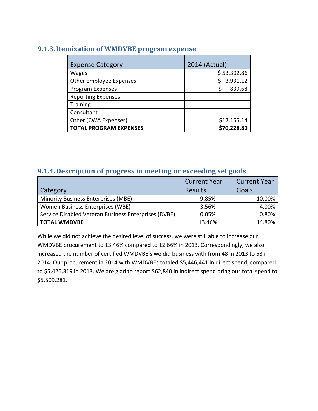# **9.1.3.Itemization of WMDVBE program expense**

| <b>Expense Category</b>        | 2014 (Actual) |
|--------------------------------|---------------|
| <b>Wages</b>                   | \$ 53,302.86  |
| <b>Other Employee Expenses</b> | 3,931.12      |
| Program Expenses               | Ś<br>839.68   |
| <b>Reporting Expenses</b>      |               |
| <b>Training</b>                |               |
| Consultant                     |               |
| Other (CWA Expenses)           | \$12,155.14   |
| <b>TOTAL PROGRAM EXPENSES</b>  | \$70,228.80   |

# **9.1.4.Description of progress in meeting or exceeding set goals**

|                                                      | <b>Current Year</b> | <b>Current Year</b> |
|------------------------------------------------------|---------------------|---------------------|
| Category                                             | <b>Results</b>      | Goals               |
| Minority Business Enterprises (MBE)                  | 9.85%               | 10.00%              |
| Women Business Enterprises (WBE)                     | 3.56%               | 4.00%               |
| Service Disabled Veteran Business Enterprises (DVBE) | 0.05%               | 0.80%               |
| <b>TOTAL WMDVBE</b>                                  | 13.46%              | 14.80%              |

While we did not achieve the desired level of success, we were still able to increase our WMDVBE procurement to 13.46% compared to 12.66% in 2013. Correspondingly, we also increased the number of certified WMDVBE's we did business with from 48 in 2013 to 53 in 2014. Our procurement in 2014 with WMDVBEs totaled \$5,446,441 in direct spend, compared to \$5,426,319 in 2013. We are glad to report \$62,840 in indirect spend bring our total spend to \$5,509,281.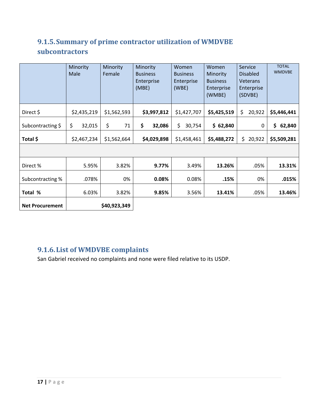# **9.1.5.Summary of prime contractor utilization of WMDVBE subcontractors**

|                        | Minority<br>Male |             | Minority<br>Female |             | Minority<br><b>Business</b><br>Enterprise<br>(MBE) |             |              |             | Women<br><b>Business</b><br>Enterprise<br>(WBE) | Women<br>Minority<br><b>Business</b><br>Enterprise<br>(WMBE) |              | Service<br><b>Disabled</b><br><b>Veterans</b><br>Enterprise<br>(SDVBE) | <b>TOTAL</b><br><b>WMDVBE</b> |
|------------------------|------------------|-------------|--------------------|-------------|----------------------------------------------------|-------------|--------------|-------------|-------------------------------------------------|--------------------------------------------------------------|--------------|------------------------------------------------------------------------|-------------------------------|
| Direct \$              |                  | \$2,435,219 | \$1,562,593        |             |                                                    | \$3,997,812 | \$1,427,707  | \$5,425,519 | \$                                              | 20,922                                                       | \$5,446,441  |                                                                        |                               |
| Subcontracting \$      | \$               | 32,015      | \$                 | 71          | \$                                                 | 32,086      | \$<br>30,754 | \$62,840    |                                                 | 0                                                            | \$<br>62,840 |                                                                        |                               |
| Total \$               |                  | \$2,467,234 |                    | \$1,562,664 |                                                    | \$4,029,898 | \$1,458,461  | \$5,488,272 | \$.                                             | 20,922                                                       | \$5,509,281  |                                                                        |                               |
|                        |                  |             |                    |             |                                                    |             |              |             |                                                 |                                                              |              |                                                                        |                               |
| Direct%                |                  | 5.95%       |                    | 3.82%       |                                                    | 9.77%       | 3.49%        | 13.26%      |                                                 | .05%                                                         | 13.31%       |                                                                        |                               |
| Subcontracting %       |                  | .078%       |                    | 0%          |                                                    | 0.08%       | 0.08%        | .15%        |                                                 | 0%                                                           | .015%        |                                                                        |                               |
| Total %                |                  | 6.03%       |                    | 3.82%       |                                                    | 9.85%       | 3.56%        | 13.41%      |                                                 | .05%                                                         | 13.46%       |                                                                        |                               |
| <b>Net Procurement</b> |                  |             | \$40,923,349       |             |                                                    |             |              |             |                                                 |                                                              |              |                                                                        |                               |

# **9.1.6.List of WMDVBE complaints**

San Gabriel received no complaints and none were filed relative to its USDP.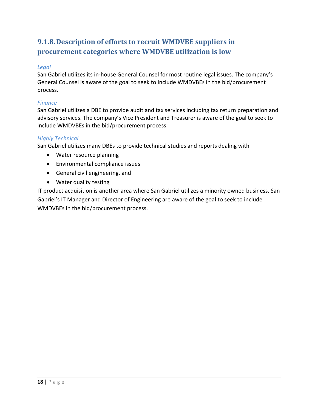# **9.1.8.Description of efforts to recruit WMDVBE suppliers in procurement categories where WMDVBE utilization is low**

### *Legal*

San Gabriel utilizes its in‐house General Counsel for most routine legal issues. The company's General Counsel is aware of the goal to seek to include WMDVBEs in the bid/procurement process.

### *Finance*

San Gabriel utilizes a DBE to provide audit and tax services including tax return preparation and advisory services. The company's Vice President and Treasurer is aware of the goal to seek to include WMDVBEs in the bid/procurement process.

### *Highly Technical*

San Gabriel utilizes many DBEs to provide technical studies and reports dealing with

- Water resource planning
- Environmental compliance issues
- General civil engineering, and
- Water quality testing

IT product acquisition is another area where San Gabriel utilizes a minority owned business. San Gabriel's IT Manager and Director of Engineering are aware of the goal to seek to include WMDVBEs in the bid/procurement process.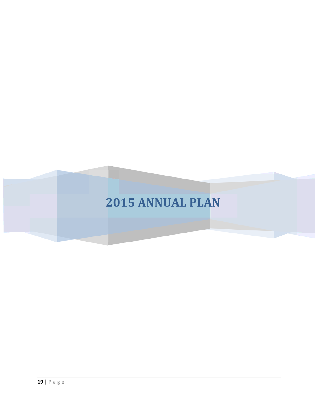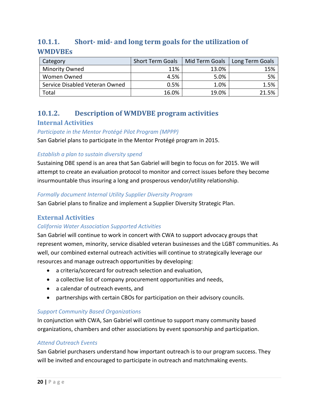# **10.1.1. Short‐ mid‐ and long term goals for the utilization of WMDVBEs**

| Category                       | <b>Short Term Goals</b> | Mid Term Goals | Long Term Goals |
|--------------------------------|-------------------------|----------------|-----------------|
| <b>Minority Owned</b>          | 11%                     | 13.0%          | 15%             |
| Women Owned                    | 4.5%                    | 5.0%           | 5%              |
| Service Disabled Veteran Owned | 0.5%                    | 1.0%           | 1.5%            |
| Total                          | 16.0%                   | 19.0%          | 21.5%           |

# **10.1.2. Description of WMDVBE program activities**

## **Internal Activities**

*Participate in the Mentor Protégé Pilot Program (MPPP)*

San Gabriel plans to participate in the Mentor Protégé program in 2015.

## *Establish a plan to sustain diversity spend*

Sustaining DBE spend is an area that San Gabriel will begin to focus on for 2015. We will attempt to create an evaluation protocol to monitor and correct issues before they become insurmountable thus insuring a long and prosperous vendor/utility relationship.

### *Formally document Internal Utility Supplier Diversity Program*

San Gabriel plans to finalize and implement a Supplier Diversity Strategic Plan.

# **External Activities**

## *California Water Association Supported Activities*

San Gabriel will continue to work in concert with CWA to support advocacy groups that represent women, minority, service disabled veteran businesses and the LGBT communities. As well, our combined external outreach activities will continue to strategically leverage our resources and manage outreach opportunities by developing:

- a criteria/scorecard for outreach selection and evaluation,
- a collective list of company procurement opportunities and needs,
- a calendar of outreach events, and
- partnerships with certain CBOs for participation on their advisory councils.

### *Support Community Based Organizations*

In conjunction with CWA, San Gabriel will continue to support many community based organizations, chambers and other associations by event sponsorship and participation.

### *Attend Outreach Events*

San Gabriel purchasers understand how important outreach is to our program success. They will be invited and encouraged to participate in outreach and matchmaking events.